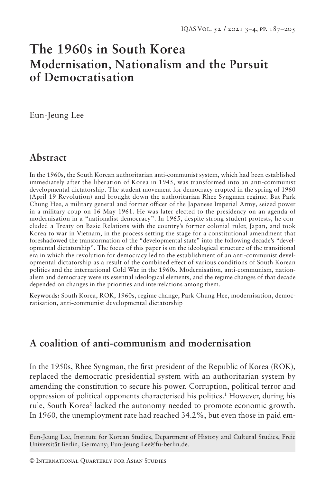# **The 1960s in South Korea Modernisation, Nationalism and the Pursuit of Democratisation**

Eun-Jeung Lee

## **Abstract**

In the 1960s, the South Korean authoritarian anti-communist system, which had been established immediately after the liberation of Korea in 1945, was transformed into an anti-communist developmental dictatorship. The student movement for democracy erupted in the spring of 1960 (April 19 Revolution) and brought down the authoritarian Rhee Syngman regime. But Park Chung Hee, a military general and former officer of the Japanese Imperial Army, seized power in a military coup on 16 May 1961. He was later elected to the presidency on an agenda of modernisation in a "nationalist democracy". In 1965, despite strong student protests, he concluded a Treaty on Basic Relations with the country's former colonial ruler, Japan, and took Korea to war in Vietnam, in the process setting the stage for a constitutional amendment that foreshadowed the transformation of the "developmental state" into the following decade's "developmental dictatorship". The focus of this paper is on the ideological structure of the transitional era in which the revolution for democracy led to the establishment of an anti-communist developmental dictatorship as a result of the combined effect of various conditions of South Korean politics and the international Cold War in the 1960s. Modernisation, anti-communism, nationalism and democracy were its essential ideological elements, and the regime changes of that decade depended on changes in the priorities and interrelations among them.

**Keywords:** South Korea, ROK, 1960s, regime change, Park Chung Hee, modernisation, democratisation, anti-communist developmental dictatorship

### **A coalition of anti-communism and modernisation**

In the 1950s, Rhee Syngman, the first president of the Republic of Korea (ROK), replaced the democratic presidential system with an authoritarian system by amending the constitution to secure his power. Corruption, political terror and oppression of political opponents characterised his politics.1 However, during his rule, South Korea<sup>2</sup> lacked the autonomy needed to promote economic growth. In 1960, the unemployment rate had reached 34.2%, but even those in paid em-

Eun-Jeung Lee, Institute for Korean Studies, Department of History and Cultural Studies, Freie Universität Berlin, Germany; Eun-Jeung.Lee@fu-berlin.de.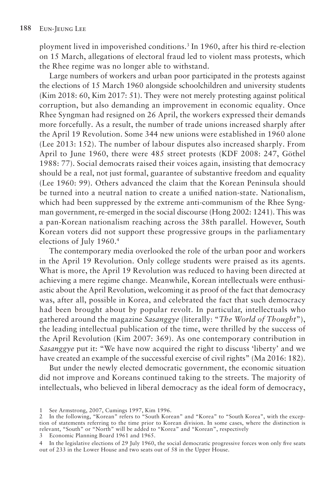ployment lived in impoverished conditions.3 In 1960, after his third re-election on 15 March, allegations of electoral fraud led to violent mass protests, which the Rhee regime was no longer able to withstand.

Large numbers of workers and urban poor participated in the protests against the elections of 15 March 1960 alongside schoolchildren and university students (Kim 2018: 60, Kim 2017: 51). They were not merely protesting against political corruption, but also demanding an improvement in economic equality. Once Rhee Syngman had resigned on 26 April, the workers expressed their demands more forcefully. As a result, the number of trade unions increased sharply after the April 19 Revolution. Some 344 new unions were established in 1960 alone (Lee 2013: 152). The number of labour disputes also increased sharply. From April to June 1960, there were 485 street protests (KDF 2008: 247, Göthel 1988: 77). Social democrats raised their voices again, insisting that democracy should be a real, not just formal, guarantee of substantive freedom and equality (Lee 1960: 99). Others advanced the claim that the Korean Peninsula should be turned into a neutral nation to create a unified nation-state. Nationalism, which had been suppressed by the extreme anti-communism of the Rhee Syngman government, re-emerged in the social discourse (Hong 2002: 1241). This was a pan-Korean nationalism reaching across the 38th parallel. However, South Korean voters did not support these progressive groups in the parliamentary elections of July 1960.4

The contemporary media overlooked the role of the urban poor and workers in the April 19 Revolution. Only college students were praised as its agents. What is more, the April 19 Revolution was reduced to having been directed at achieving a mere regime change. Meanwhile, Korean intellectuals were enthusiastic about the April Revolution, welcoming it as proof of the fact that democracy was, after all, possible in Korea, and celebrated the fact that such democracy had been brought about by popular revolt. In particular, intellectuals who gathered around the magazine *Sasanggye* (literally: "*The World of Thought*"), the leading intellectual publication of the time, were thrilled by the success of the April Revolution (Kim 2007: 369). As one contemporary contribution in *Sasanggye* put it: "We have now acquired the right to discuss 'liberty' and we have created an example of the successful exercise of civil rights" (Ma 2016: 182).

But under the newly elected democratic government, the economic situation did not improve and Koreans continued taking to the streets. The majority of intellectuals, who believed in liberal democracy as the ideal form of democracy,

3 Economic Planning Board 1961 and 1965.

<sup>1</sup> See Armstrong, 2007, Cumings 1997, Kim 1996.

<sup>2</sup> In the following, "Korean" refers to "South Korean" and "Korea" to "South Korea", with the exception of statements referring to the time prior to Korean division. In some cases, where the distinction is relevant, "South" or "North" will be added to "Korea" and "Korean", respectively

<sup>4</sup> In the legislative elections of 29 July 1960, the social democratic progressive forces won only five seats out of 233 in the Lower House and two seats out of 58 in the Upper House.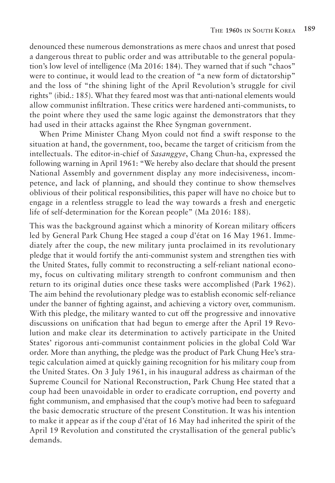denounced these numerous demonstrations as mere chaos and unrest that posed a dangerous threat to public order and was attributable to the general population's low level of intelligence (Ma 2016: 184). They warned that if such "chaos" were to continue, it would lead to the creation of "a new form of dictatorship" and the loss of "the shining light of the April Revolution's struggle for civil rights" (ibid.: 185). What they feared most was that anti-national elements would allow communist infiltration. These critics were hardened anti-communists, to the point where they used the same logic against the demonstrators that they had used in their attacks against the Rhee Syngman government.

When Prime Minister Chang Myon could not find a swift response to the situation at hand, the government, too, became the target of criticism from the intellectuals. The editor-in-chief of *Sasanggye*, Chang Chun-ha, expressed the following warning in April 1961: "We hereby also declare that should the present National Assembly and government display any more indecisiveness, incompetence, and lack of planning, and should they continue to show themselves oblivious of their political responsibilities, this paper will have no choice but to engage in a relentless struggle to lead the way towards a fresh and energetic life of self-determination for the Korean people" (Ma 2016: 188).

This was the background against which a minority of Korean military officers led by General Park Chung Hee staged a coup d'état on 16 May 1961. Immediately after the coup, the new military junta proclaimed in its revolutionary pledge that it would fortify the anti-communist system and strengthen ties with the United States, fully commit to reconstructing a self-reliant national economy, focus on cultivating military strength to confront communism and then return to its original duties once these tasks were accomplished (Park 1962). The aim behind the revolutionary pledge was to establish economic self-reliance under the banner of fighting against, and achieving a victory over, communism. With this pledge, the military wanted to cut off the progressive and innovative discussions on unification that had begun to emerge after the April 19 Revolution and make clear its determination to actively participate in the United States' rigorous anti-communist containment policies in the global Cold War order. More than anything, the pledge was the product of Park Chung Hee's strategic calculation aimed at quickly gaining recognition for his military coup from the United States. On 3 July 1961, in his inaugural address as chairman of the Supreme Council for National Reconstruction, Park Chung Hee stated that a coup had been unavoidable in order to eradicate corruption, end poverty and fight communism, and emphasised that the coup's motive had been to safeguard the basic democratic structure of the present Constitution. It was his intention to make it appear as if the coup d'état of 16 May had inherited the spirit of the April 19 Revolution and constituted the crystallisation of the general public's demands.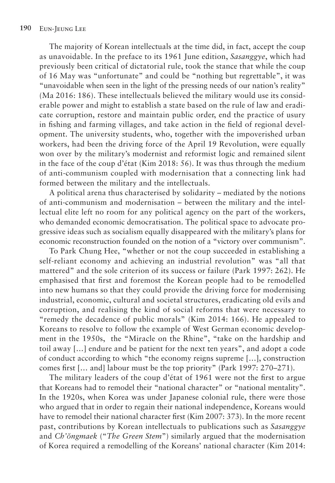The majority of Korean intellectuals at the time did, in fact, accept the coup as unavoidable. In the preface to its 1961 June edition, *Sasanggye*, which had previously been critical of dictatorial rule, took the stance that while the coup of 16 May was "unfortunate" and could be "nothing but regrettable", it was "unavoidable when seen in the light of the pressing needs of our nation's reality" (Ma 2016: 186). These intellectuals believed the military would use its considerable power and might to establish a state based on the rule of law and eradicate corruption, restore and maintain public order, end the practice of usury in fishing and farming villages, and take action in the field of regional development. The university students, who, together with the impoverished urban workers, had been the driving force of the April 19 Revolution, were equally won over by the military's modernist and reformist logic and remained silent in the face of the coup d'état (Kim 2018: 56). It was thus through the medium of anti-communism coupled with modernisation that a connecting link had formed between the military and the intellectuals.

A political arena thus characterised by solidarity – mediated by the notions of anti-communism and modernisation – between the military and the intellectual elite left no room for any political agency on the part of the workers, who demanded economic democratisation. The political space to advocate progressive ideas such as socialism equally disappeared with the military's plans for economic reconstruction founded on the notion of a "victory over communism".

To Park Chung Hee, "whether or not the coup succeeded in establishing a self-reliant economy and achieving an industrial revolution" was "all that mattered" and the sole criterion of its success or failure (Park 1997: 262). He emphasised that first and foremost the Korean people had to be remodelled into new humans so that they could provide the driving force for modernising industrial, economic, cultural and societal structures, eradicating old evils and corruption, and realising the kind of social reforms that were necessary to "remedy the decadence of public morals" (Kim 2014: 166). He appealed to Koreans to resolve to follow the example of West German economic development in the 1950s, the "Miracle on the Rhine", "take on the hardship and toil away […] endure and be patient for the next ten years", and adopt a code of conduct according to which "the economy reigns supreme […], construction comes first [… and] labour must be the top priority" (Park 1997: 270–271).

The military leaders of the coup d'état of 1961 were not the first to argue that Koreans had to remodel their "national character" or "national mentality". In the 1920s, when Korea was under Japanese colonial rule, there were those who argued that in order to regain their national independence, Koreans would have to remodel their national character first (Kim 2007: 373). In the more recent past, contributions by Korean intellectuals to publications such as *Sasanggye* and *Ch'ŏngmaek* ("*The Green Stem*") similarly argued that the modernisation of Korea required a remodelling of the Koreans' national character (Kim 2014: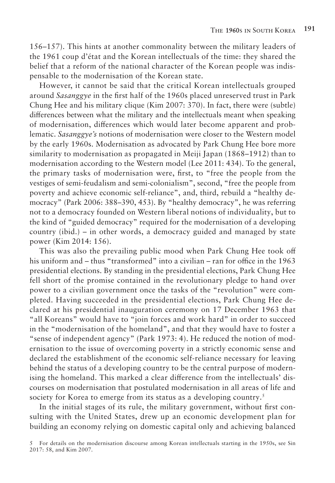156–157). This hints at another commonality between the military leaders of the 1961 coup d'état and the Korean intellectuals of the time: they shared the belief that a reform of the national character of the Korean people was indispensable to the modernisation of the Korean state.

However, it cannot be said that the critical Korean intellectuals grouped around *Sasanggye* in the first half of the 1960s placed unreserved trust in Park Chung Hee and his military clique (Kim 2007: 370). In fact, there were (subtle) differences between what the military and the intellectuals meant when speaking of modernisation, differences which would later become apparent and problematic. *Sasanggye's* notions of modernisation were closer to the Western model by the early 1960s. Modernisation as advocated by Park Chung Hee bore more similarity to modernisation as propagated in Meiji Japan (1868–1912) than to modernisation according to the Western model (Lee 2011: 434). To the general, the primary tasks of modernisation were, first, to "free the people from the vestiges of semi-feudalism and semi-colonialism", second, "free the people from poverty and achieve economic self-reliance", and, third, rebuild a "healthy democracy" (Park 2006: 388–390, 453). By "healthy democracy", he was referring not to a democracy founded on Western liberal notions of individuality, but to the kind of "guided democracy" required for the modernisation of a developing country (ibid.) – in other words, a democracy guided and managed by state power (Kim 2014: 156).

This was also the prevailing public mood when Park Chung Hee took off his uniform and – thus "transformed" into a civilian – ran for office in the 1963 presidential elections. By standing in the presidential elections, Park Chung Hee fell short of the promise contained in the revolutionary pledge to hand over power to a civilian government once the tasks of the "revolution" were completed. Having succeeded in the presidential elections, Park Chung Hee declared at his presidential inauguration ceremony on 17 December 1963 that "all Koreans" would have to "join forces and work hard" in order to succeed in the "modernisation of the homeland", and that they would have to foster a "sense of independent agency" (Park 1973: 4). He reduced the notion of modernisation to the issue of overcoming poverty in a strictly economic sense and declared the establishment of the economic self-reliance necessary for leaving behind the status of a developing country to be the central purpose of modernising the homeland. This marked a clear difference from the intellectuals' discourses on modernisation that postulated modernisation in all areas of life and society for Korea to emerge from its status as a developing country.<sup>5</sup>

In the initial stages of its rule, the military government, without first consulting with the United States, drew up an economic development plan for building an economy relying on domestic capital only and achieving balanced

<sup>5</sup> For details on the modernisation discourse among Korean intellectuals starting in the 1950s, see Sin 2017: 58, and Kim 2007.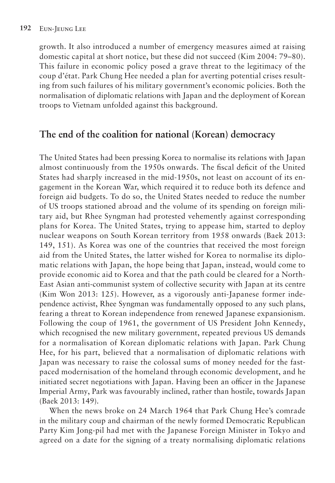growth. It also introduced a number of emergency measures aimed at raising domestic capital at short notice, but these did not succeed (Kim 2004: 79–80). This failure in economic policy posed a grave threat to the legitimacy of the coup d'état. Park Chung Hee needed a plan for averting potential crises resulting from such failures of his military government's economic policies. Both the normalisation of diplomatic relations with Japan and the deployment of Korean troops to Vietnam unfolded against this background.

### **The end of the coalition for national (Korean) democracy**

The United States had been pressing Korea to normalise its relations with Japan almost continuously from the 1950s onwards. The fiscal deficit of the United States had sharply increased in the mid-1950s, not least on account of its engagement in the Korean War, which required it to reduce both its defence and foreign aid budgets. To do so, the United States needed to reduce the number of US troops stationed abroad and the volume of its spending on foreign military aid, but Rhee Syngman had protested vehemently against corresponding plans for Korea. The United States, trying to appease him, started to deploy nuclear weapons on South Korean territory from 1958 onwards (Baek 2013: 149, 151). As Korea was one of the countries that received the most foreign aid from the United States, the latter wished for Korea to normalise its diplomatic relations with Japan, the hope being that Japan, instead, would come to provide economic aid to Korea and that the path could be cleared for a North-East Asian anti-communist system of collective security with Japan at its centre (Kim Won 2013: 125). However, as a vigorously anti-Japanese former independence activist, Rhee Syngman was fundamentally opposed to any such plans, fearing a threat to Korean independence from renewed Japanese expansionism. Following the coup of 1961, the government of US President John Kennedy, which recognised the new military government, repeated previous US demands for a normalisation of Korean diplomatic relations with Japan. Park Chung Hee, for his part, believed that a normalisation of diplomatic relations with Japan was necessary to raise the colossal sums of money needed for the fastpaced modernisation of the homeland through economic development, and he initiated secret negotiations with Japan. Having been an officer in the Japanese Imperial Army, Park was favourably inclined, rather than hostile, towards Japan (Baek 2013: 149).

When the news broke on 24 March 1964 that Park Chung Hee's comrade in the military coup and chairman of the newly formed Democratic Republican Party Kim Jong-pil had met with the Japanese Foreign Minister in Tokyo and agreed on a date for the signing of a treaty normalising diplomatic relations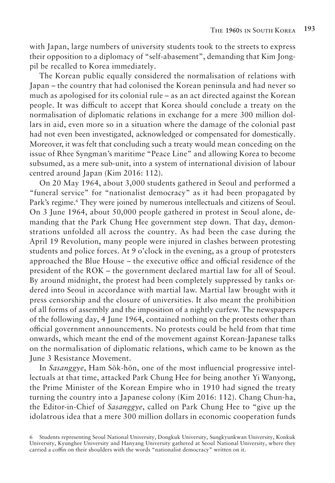with Japan, large numbers of university students took to the streets to express their opposition to a diplomacy of "self-abasement", demanding that Kim Jongpil be recalled to Korea immediately.

The Korean public equally considered the normalisation of relations with Japan – the country that had colonised the Korean peninsula and had never so much as apologised for its colonial rule – as an act directed against the Korean people. It was difficult to accept that Korea should conclude a treaty on the normalisation of diplomatic relations in exchange for a mere 300 million dollars in aid, even more so in a situation where the damage of the colonial past had not even been investigated, acknowledged or compensated for domestically. Moreover, it was felt that concluding such a treaty would mean conceding on the issue of Rhee Syngman's maritime "Peace Line" and allowing Korea to become subsumed, as a mere sub-unit, into a system of international division of labour centred around Japan (Kim 2016: 112).

On 20 May 1964, about 3,000 students gathered in Seoul and performed a "funeral service" for "nationalist democracy" as it had been propagated by Park's regime.<sup>6</sup> They were joined by numerous intellectuals and citizens of Seoul. On 3 June 1964, about 50,000 people gathered in protest in Seoul alone, demanding that the Park Chung Hee government step down. That day, demonstrations unfolded all across the country. As had been the case during the April 19 Revolution, many people were injured in clashes between protesting students and police forces. At 9 o'clock in the evening, as a group of protesters approached the Blue House – the executive office and official residence of the president of the ROK – the government declared martial law for all of Seoul. By around midnight, the protest had been completely suppressed by tanks ordered into Seoul in accordance with martial law. Martial law brought with it press censorship and the closure of universities. It also meant the prohibition of all forms of assembly and the imposition of a nightly curfew. The newspapers of the following day, 4 June 1964, contained nothing on the protests other than official government announcements. No protests could be held from that time onwards, which meant the end of the movement against Korean-Japanese talks on the normalisation of diplomatic relations, which came to be known as the June 3 Resistance Movement.

In *Sasanggye*, Ham Sŏk-hŏn, one of the most influencial progressive intellectuals at that time, attacked Park Chung Hee for being another Yi Wanyong, the Prime Minister of the Korean Empire who in 1910 had signed the treaty turning the country into a Japanese colony (Kim 2016: 112). Chang Chun-ha, the Editor-in-Chief of *Sasanggye*, called on Park Chung Hee to "give up the idolatrous idea that a mere 300 million dollars in economic cooperation funds

6 Students representing Seoul National University, Dongkuk University, Sungkyunkwan University, Konkuk University, Kyunghee University and Hanyang University gathered at Seoul National University, where they carried a coffin on their shoulders with the words "nationalist democracy" written on it.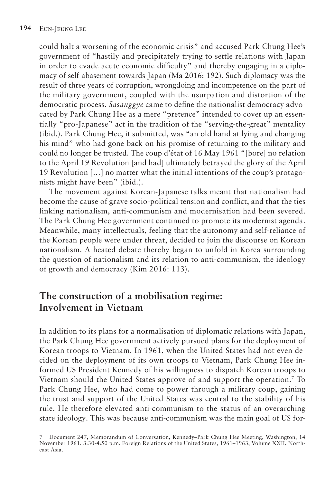could halt a worsening of the economic crisis" and accused Park Chung Hee's government of "hastily and precipitately trying to settle relations with Japan in order to evade acute economic difficulty" and thereby engaging in a diplomacy of self-abasement towards Japan (Ma 2016: 192). Such diplomacy was the result of three years of corruption, wrongdoing and incompetence on the part of the military government, coupled with the usurpation and distortion of the democratic process. *Sasanggye* came to define the nationalist democracy advocated by Park Chung Hee as a mere "pretence" intended to cover up an essentially "pro-Japanese" act in the tradition of the "serving-the-great" mentality (ibid.). Park Chung Hee, it submitted, was "an old hand at lying and changing his mind" who had gone back on his promise of returning to the military and could no longer be trusted. The coup d'état of 16 May 1961 "[bore] no relation to the April 19 Revolution [and had] ultimately betrayed the glory of the April 19 Revolution […] no matter what the initial intentions of the coup's protagonists might have been" (ibid.).

The movement against Korean-Japanese talks meant that nationalism had become the cause of grave socio-political tension and conflict, and that the ties linking nationalism, anti-communism and modernisation had been severed. The Park Chung Hee government continued to promote its modernist agenda. Meanwhile, many intellectuals, feeling that the autonomy and self-reliance of the Korean people were under threat, decided to join the discourse on Korean nationalism. A heated debate thereby began to unfold in Korea surrounding the question of nationalism and its relation to anti-communism, the ideology of growth and democracy (Kim 2016: 113).

#### **The construction of a mobilisation regime: Involvement in Vietnam**

In addition to its plans for a normalisation of diplomatic relations with Japan, the Park Chung Hee government actively pursued plans for the deployment of Korean troops to Vietnam. In 1961, when the United States had not even decided on the deployment of its own troops to Vietnam, Park Chung Hee informed US President Kennedy of his willingness to dispatch Korean troops to Vietnam should the United States approve of and support the operation.7 To Park Chung Hee, who had come to power through a military coup, gaining the trust and support of the United States was central to the stability of his rule. He therefore elevated anti-communism to the status of an overarching state ideology. This was because anti-communism was the main goal of US for-

<sup>7</sup> Document 247, Memorandum of Conversation, Kennedy–Park Chung Hee Meeting, Washington, 14 November 1961, 3:30-4:50 p.m. Foreign Relations of the United States, 1961–1963, Volume XXII, Northeast Asia.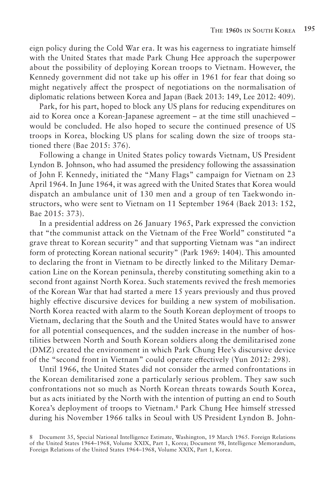eign policy during the Cold War era. It was his eagerness to ingratiate himself with the United States that made Park Chung Hee approach the superpower about the possibility of deploying Korean troops to Vietnam. However, the Kennedy government did not take up his offer in 1961 for fear that doing so might negatively affect the prospect of negotiations on the normalisation of diplomatic relations between Korea and Japan (Baek 2013: 149, Lee 2012: 409).

Park, for his part, hoped to block any US plans for reducing expenditures on aid to Korea once a Korean-Japanese agreement – at the time still unachieved – would be concluded. He also hoped to secure the continued presence of US troops in Korea, blocking US plans for scaling down the size of troops stationed there (Bae 2015: 376).

Following a change in United States policy towards Vietnam, US President Lyndon B. Johnson, who had assumed the presidency following the assassination of John F. Kennedy, initiated the "Many Flags" campaign for Vietnam on 23 April 1964. In June 1964, it was agreed with the United States that Korea would dispatch an ambulance unit of 130 men and a group of ten Taekwondo instructors, who were sent to Vietnam on 11 September 1964 (Baek 2013: 152, Bae 2015: 373).

In a presidential address on 26 January 1965, Park expressed the conviction that "the communist attack on the Vietnam of the Free World" constituted "a grave threat to Korean security" and that supporting Vietnam was "an indirect form of protecting Korean national security" (Park 1969: 1404). This amounted to declaring the front in Vietnam to be directly linked to the Military Demarcation Line on the Korean peninsula, thereby constituting something akin to a second front against North Korea. Such statements revived the fresh memories of the Korean War that had started a mere 15 years previously and thus proved highly effective discursive devices for building a new system of mobilisation. North Korea reacted with alarm to the South Korean deployment of troops to Vietnam, declaring that the South and the United States would have to answer for all potential consequences, and the sudden increase in the number of hostilities between North and South Korean soldiers along the demilitarised zone (DMZ) created the environment in which Park Chung Hee's discursive device of the "second front in Vietnam" could operate effectively (Yun 2012: 298).

Until 1966, the United States did not consider the armed confrontations in the Korean demilitarised zone a particularly serious problem. They saw such confrontations not so much as North Korean threats towards South Korea, but as acts initiated by the North with the intention of putting an end to South Korea's deployment of troops to Vietnam.8 Park Chung Hee himself stressed during his November 1966 talks in Seoul with US President Lyndon B. John-

<sup>8</sup> Document 35, Special National Intelligence Estimate, Washington, 19 March 1965. Foreign Relations of the United States 1964–1968, Volume XXIX, Part 1, Korea; Document 98, Intelligence Memorandum, Foreign Relations of the United States 1964–1968, Volume XXIX, Part 1, Korea.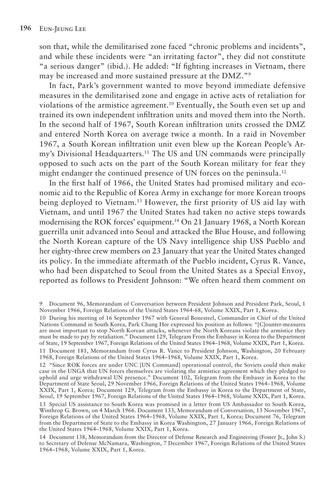son that, while the demilitarised zone faced "chronic problems and incidents", and while these incidents were "an irritating factor", they did not constitute "a serious danger" (ibid.). He added: "If fighting increases in Vietnam, there may be increased and more sustained pressure at the DMZ."9

In fact, Park's government wanted to move beyond immediate defensive measures in the demilitarised zone and engage in active acts of retaliation for violations of the armistice agreement.10 Eventually, the South even set up and trained its own independent infiltration units and moved them into the North. In the second half of 1967, South Korean infiltration units crossed the DMZ and entered North Korea on average twice a month. In a raid in November 1967, a South Korean infiltration unit even blew up the Korean People's Army's Divisional Headquarters.11 The US and UN commands were principally opposed to such acts on the part of the South Korean military for fear they might endanger the continued presence of UN forces on the peninsula.<sup>12</sup>

In the first half of 1966, the United States had promised military and economic aid to the Republic of Korea Army in exchange for more Korean troops being deployed to Vietnam.<sup>13</sup> However, the first priority of US aid lay with Vietnam, and until 1967 the United States had taken no active steps towards modernising the ROK forces' equipment.14 On 21 January 1968, a North Korean guerrilla unit advanced into Seoul and attacked the Blue House, and following the North Korean capture of the US Navy intelligence ship USS Pueblo and her eighty-three crew members on 23 January that year the United States changed its policy. In the immediate aftermath of the Pueblo incident, Cyrus R. Vance, who had been dispatched to Seoul from the United States as a Special Envoy, reported as follows to President Johnson: "We often heard them comment on

<sup>9</sup> Document 96, Memorandum of Conversation between President Johnson and President Park, Seoul, 1 November 1966, Foreign Relations of the United States 1964-68, Volume XXIX, Part 1, Korea.

<sup>10</sup> During his meeting of 16 September 1967 with General Bonesteel, Commander in Chief of the United Nations Command in South Korea, Park Chung Hee expressed his position as follows: "[C]ounter-measures are most important to stop North Korean attacks, whenever the North Koreans violate the armistice they must be made to pay by retaliation." Document 129, Telegram From the Embassy in Korea to the Department of State, 19 September 1967, Foreign Relations of the United States 1964–1968, Volume XXIX, Part 1, Korea. 11 Document 181, Memorandum from Cyrus R. Vance to President Johnson, Washington, 20 February 1968, Foreign Relations of the United States 1964–1968, Volume XXIX, Part 1, Korea.

<sup>12</sup> "Since ROK forces are under UNC [UN Command] operational control, the Soviets could then make case in the UNGA that UN forces themselves are violating the armistice agreement which they pledged to uphold and urge withdrawal UN presence." Document 102, Telegram from the Embassy in Korea to the Department of State Seoul, 29 November 1966, Foreign Relations of the United States 1964–1968, Volume XXIX, Part 1, Korea; Document 129, Telegram from the Embassy in Korea to the Department of State, Seoul, 19 September 1967, Foreign Relations of the United States 1964–1968, Volume XXIX, Part 1, Korea.

<sup>13</sup> Special US assistance to South Korea was promised in a letter from US Ambassador to South Korea, Winthrop G. Brown, on 4 March 1966. Document 133, Memorandum of Conversation, 13 November 1967, Foreign Relations of the United States 1964–1968, Volume XXIX, Part 1, Korea; Document 76, Telegram from the Department of State to the Embassy in Korea Washington, 27 January 1966, Foreign Relations of the United States 1964–1968, Volume XXIX, Part 1, Korea.

<sup>14</sup> Document 138, Memorandum from the Director of Defense Research and Engineering (Foster Jr., John S.) to Secretary of Defense McNamara, Washington, 7 December 1967, Foreign Relations of the United States 1964–1968, Volume XXIX, Part 1, Korea.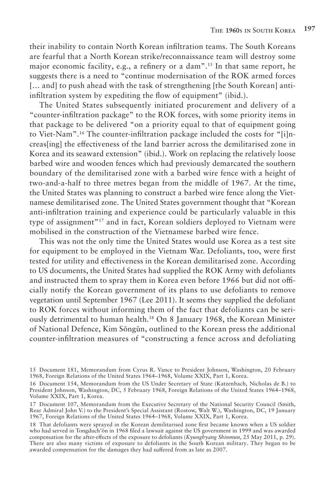their inability to contain North Korean infiltration teams. The South Koreans are fearful that a North Korean strike/reconnaissance team will destroy some major economic facility, e.g., a refinery or a dam".15 In that same report, he suggests there is a need to "continue modernisation of the ROK armed forces [... and] to push ahead with the task of strengthening [the South Korean] antiinfiltration system by expediting the flow of equipment" (ibid.).

The United States subsequently initiated procurement and delivery of a "counter-infiltration package" to the ROK forces, with some priority items in that package to be delivered "on a priority equal to that of equipment going to Viet-Nam".16 The counter-infiltration package included the costs for "[i]ncreas[ing] the effectiveness of the land barrier across the demilitarised zone in Korea and its seaward extension" (ibid.). Work on replacing the relatively loose barbed wire and wooden fences which had previously demarcated the southern boundary of the demilitarised zone with a barbed wire fence with a height of two-and-a-half to three metres began from the middle of 1967. At the time, the United States was planning to construct a barbed wire fence along the Vietnamese demilitarised zone. The United States government thought that "Korean anti-infiltration training and experience could be particularly valuable in this type of assignment"17 and in fact, Korean soldiers deployed to Vietnam were mobilised in the construction of the Vietnamese barbed wire fence.

This was not the only time the United States would use Korea as a test site for equipment to be employed in the Vietnam War. Defoliants, too, were first tested for utility and effectiveness in the Korean demilitarised zone. According to US documents, the United States had supplied the ROK Army with defoliants and instructed them to spray them in Korea even before 1966 but did not officially notify the Korean government of its plans to use defoliants to remove vegetation until September 1967 (Lee 2011). It seems they supplied the defoliant to ROK forces without informing them of the fact that defoliants can be seriously detrimental to human health.18 On 8 January 1968, the Korean Minister of National Defence, Kim Sŏngŭn, outlined to the Korean press the additional counter-infiltration measures of "constructing a fence across and defoliating

<sup>15</sup> Document 181, Memorandum from Cyrus R. Vance to President Johnson, Washington, 20 February 1968, Foreign Relations of the United States 1964–1968, Volume XXIX, Part 1, Korea.

<sup>16</sup> Document 154, Memorandum from the US Under Secretary of State (Katzenbach, Nicholas de B.) to President Johnson, Washington, DC, 5 February 1968, Foreign Relations of the United States 1964–1968, Volume XXIX, Part 1, Korea.

<sup>17</sup> Document 107, Memorandum from the Executive Secretary of the National Security Council (Smith, Rear Admiral John V.) to the President's Special Assistant (Rostow, Walt W.), Washington, DC, 19 January 1967, Foreign Relations of the United States 1964–1968, Volume XXIX, Part 1, Korea.

<sup>18</sup> That defoliants were sprayed in the Korean demilitarised zone first became known when a US soldier who had served in Tongduch'ŏn in 1968 filed a lawsuit against the US government in 1999 and was awarded compensation for the after-effects of the exposure to defoliants (*Kyunghyang Shinmun*, 25 May 2011, p. 29). There are also many victims of exposure to defoliants in the South Korean military. They began to be awarded compensation for the damages they had suffered from as late as 2007.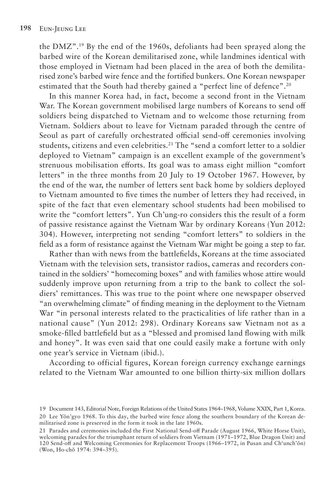the DMZ".19 By the end of the 1960s, defoliants had been sprayed along the barbed wire of the Korean demilitarised zone, while landmines identical with those employed in Vietnam had been placed in the area of both the demilitarised zone's barbed wire fence and the fortified bunkers. One Korean newspaper estimated that the South had thereby gained a "perfect line of defence".<sup>20</sup>

In this manner Korea had, in fact, become a second front in the Vietnam War. The Korean government mobilised large numbers of Koreans to send off soldiers being dispatched to Vietnam and to welcome those returning from Vietnam. Soldiers about to leave for Vietnam paraded through the centre of Seoul as part of carefully orchestrated official send-off ceremonies involving students, citizens and even celebrities.21 The "send a comfort letter to a soldier deployed to Vietnam" campaign is an excellent example of the government's strenuous mobilisation efforts. Its goal was to amass eight million "comfort letters" in the three months from 20 July to 19 October 1967. However, by the end of the war, the number of letters sent back home by soldiers deployed to Vietnam amounted to five times the number of letters they had received, in spite of the fact that even elementary school students had been mobilised to write the "comfort letters". Yun Ch'ung-ro considers this the result of a form of passive resistance against the Vietnam War by ordinary Koreans (Yun 2012: 304). However, interpreting not sending "comfort letters" to soldiers in the field as a form of resistance against the Vietnam War might be going a step to far.

Rather than with news from the battlefields, Koreans at the time associated Vietnam with the television sets, transistor radios, cameras and recorders contained in the soldiers' "homecoming boxes" and with families whose attire would suddenly improve upon returning from a trip to the bank to collect the soldiers' remittances. This was true to the point where one newspaper observed "an overwhelming climate" of finding meaning in the deployment to the Vietnam War "in personal interests related to the practicalities of life rather than in a national cause" (Yun 2012: 298). Ordinary Koreans saw Vietnam not as a smoke-filled battlefield but as a "blessed and promised land flowing with milk and honey". It was even said that one could easily make a fortune with only one year's service in Vietnam (ibid.).

According to official figures, Korean foreign currency exchange earnings related to the Vietnam War amounted to one billion thirty-six million dollars

<sup>19</sup> Document 143, Editorial Note, Foreign Relations of the United States 1964–1968, Volume XXIX, Part 1, Korea. 20 Lee Yŏn'gyo 1968. To this day, the barbed wire fence along the southern boundary of the Korean demilitarised zone is preserved in the form it took in the late 1960s.

<sup>21</sup> Parades and ceremonies included the First National Send-off Parade (August 1966, White Horse Unit), welcoming parades for the triumphant return of soldiers from Vietnam (1971–1972, Blue Dragon Unit) and 120 Send-off and Welcoming Ceremonies for Replacement Troops (1966–1972, in Pusan and Ch'unch'ŏn) (Won, Ho-chŏ 1974: 394–395).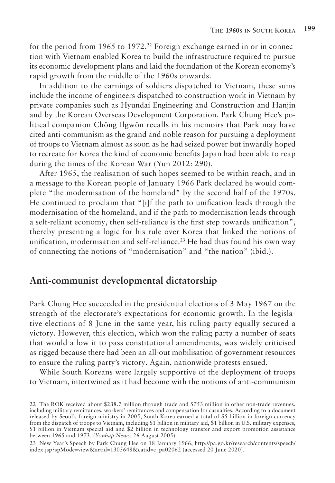for the period from 1965 to 1972.<sup>22</sup> Foreign exchange earned in or in connection with Vietnam enabled Korea to build the infrastructure required to pursue its economic development plans and laid the foundation of the Korean economy's rapid growth from the middle of the 1960s onwards.

In addition to the earnings of soldiers dispatched to Vietnam, these sums include the income of engineers dispatched to construction work in Vietnam by private companies such as Hyundai Engineering and Construction and Hanjin and by the Korean Overseas Development Corporation. Park Chung Hee's political companion Chŏng Ilgwŏn recalls in his memoirs that Park may have cited anti-communism as the grand and noble reason for pursuing a deployment of troops to Vietnam almost as soon as he had seized power but inwardly hoped to recreate for Korea the kind of economic benefits Japan had been able to reap during the times of the Korean War (Yun 2012: 290).

After 1965, the realisation of such hopes seemed to be within reach, and in a message to the Korean people of January 1966 Park declared he would complete "the modernisation of the homeland" by the second half of the 1970s. He continued to proclaim that "[i]f the path to unification leads through the modernisation of the homeland, and if the path to modernisation leads through a self-reliant economy, then self-reliance is the first step towards unification", thereby presenting a logic for his rule over Korea that linked the notions of unification, modernisation and self-reliance.<sup>23</sup> He had thus found his own way of connecting the notions of "modernisation" and "the nation" (ibid.).

#### **Anti-communist developmental dictatorship**

Park Chung Hee succeeded in the presidential elections of 3 May 1967 on the strength of the electorate's expectations for economic growth. In the legislative elections of 8 June in the same year, his ruling party equally secured a victory. However, this election, which won the ruling party a number of seats that would allow it to pass constitutional amendments, was widely criticised as rigged because there had been an all-out mobilisation of government resources to ensure the ruling party's victory. Again, nationwide protests ensued.

While South Koreans were largely supportive of the deployment of troops to Vietnam, intertwined as it had become with the notions of anti-communism

<sup>22</sup> The ROK received about \$238.7 million through trade and \$753 million in other non-trade revenues, including military remittances, workers' remittances and compensation for casualties. According to a document released by Seoul's foreign ministry in 2005, South Korea earned a total of \$5 billion in foreign currency from the dispatch of troops to Vietnam, including \$1 billion in military aid, \$1 billion in U.S. military expenses, \$1 billion in Vietnam special aid and \$2 billion in technology transfer and export promotion assistance between 1965 and 1973. (*Yonhap News*, 26 August 2005).

<sup>23</sup> New Year's Speech by Park Chung Hee on 18 January 1966, http://pa.go.kr/research/contents/speech/ index.jsp?spMode=view&artid=1305648&catid=c\_pa02062 (accessed 20 June 2020).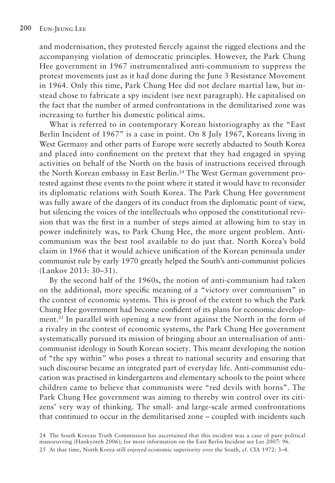and modernisation, they protested fiercely against the rigged elections and the accompanying violation of democratic principles. However, the Park Chung Hee government in 1967 instrumentalised anti-communism to suppress the protest movements just as it had done during the June 3 Resistance Movement in 1964. Only this time, Park Chung Hee did not declare martial law, but instead chose to fabricate a spy incident (see next paragraph). He capitalised on the fact that the number of armed confrontations in the demilitarised zone was increasing to further his domestic political aims.

What is referred to in contemporary Korean historiography as the "East Berlin Incident of 1967" is a case in point. On 8 July 1967, Koreans living in West Germany and other parts of Europe were secretly abducted to South Korea and placed into confinement on the pretext that they had engaged in spying activities on behalf of the North on the basis of instructions received through the North Korean embassy in East Berlin.<sup>24</sup> The West German government protested against these events to the point where it stated it would have to reconsider its diplomatic relations with South Korea. The Park Chung Hee government was fully aware of the dangers of its conduct from the diplomatic point of view, but silencing the voices of the intellectuals who opposed the constitutional revision that was the first in a number of steps aimed at allowing him to stay in power indefinitely was, to Park Chung Hee, the more urgent problem. Anticommunism was the best tool available to do just that. North Korea's bold claim in 1966 that it would achieve unification of the Korean peninsula under communist rule by early 1970 greatly helped the South's anti-communist policies (Lankov 2013: 30–31).

By the second half of the 1960s, the notion of anti-communism had taken on the additional, more specific meaning of a "victory over communism" in the contest of economic systems. This is proof of the extent to which the Park Chung Hee government had become confident of its plans for economic development.25 In parallel with opening a new front against the North in the form of a rivalry in the contest of economic systems, the Park Chung Hee government systematically pursued its mission of bringing about an internalisation of anticommunist ideology in South Korean society. This meant developing the notion of "the spy within" who poses a threat to national security and ensuring that such discourse became an integrated part of everyday life. Anti-communist education was practised in kindergartens and elementary schools to the point where children came to believe that communists were "red devils with horns". The Park Chung Hee government was aiming to thereby win control over its citizens' very way of thinking. The small- and large-scale armed confrontations that continued to occur in the demilitarised zone – coupled with incidents such

24 The South Korean Truth Commission has ascertained that this incident was a case of pure political manoeuvring (Hankyoreh 2006); for more information on the East Berlin Incident see Lee 2007: 96. 25 At that time, North Korea still enjoyed economic superiority over the South, cf. CIA 1972: 3–4.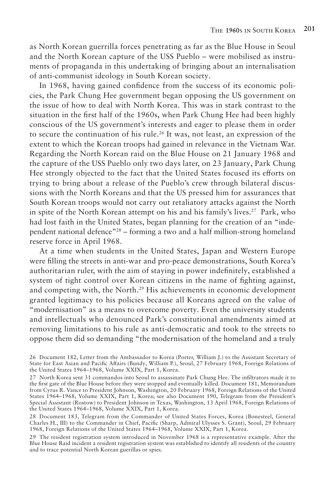as North Korean guerrilla forces penetrating as far as the Blue House in Seoul and the North Korean capture of the USS Pueblo – were mobilised as instruments of propaganda in this undertaking of bringing about an internalisation of anti-communist ideology in South Korean society.

In 1968, having gained confidence from the success of its economic policies, the Park Chung Hee government began opposing the US government on the issue of how to deal with North Korea. This was in stark contrast to the situation in the first half of the 1960s, when Park Chung Hee had been highly conscious of the US government's interests and eager to please them in order to secure the continuation of his rule.<sup>26</sup> It was, not least, an expression of the extent to which the Korean troops had gained in relevance in the Vietnam War. Regarding the North Korean raid on the Blue House on 21 January 1968 and the capture of the USS Pueblo only two days later, on 23 January, Park Chung Hee strongly objected to the fact that the United States focused its efforts on trying to bring about a release of the Pueblo's crew through bilateral discussions with the North Koreans and that the US pressed him for assurances that South Korean troops would not carry out retaliatory attacks against the North in spite of the North Korean attempt on his and his family's lives.27 Park, who had lost faith in the United States, began planning for the creation of an "independent national defence"28 – forming a two and a half million-strong homeland reserve force in April 1968.

At a time when students in the United States, Japan and Western Europe were filling the streets in anti-war and pro-peace demonstrations, South Korea's authoritarian ruler, with the aim of staying in power indefinitely, established a system of tight control over Korean citizens in the name of fighting against, and competing with, the North.<sup>29</sup> His achievements in economic development granted legitimacy to his policies because all Koreans agreed on the value of "modernisation" as a means to overcome poverty. Even the university students and intellectuals who denounced Park's constitutional amendments aimed at removing limitations to his rule as anti-democratic and took to the streets to oppose them did so demanding "the modernisation of the homeland and a truly

28 Document 183, Telegram from the Commander of United States Forces, Korea (Bonesteel, General Charles H., III) to the Commander in Chief, Pacific (Sharp, Admiral Ulysses S. Grant), Seoul, 29 February 1968, Foreign Relations of the United States 1964–1968, Volume XXIX, Part 1, Korea.

29 The resident registration system introduced in November 1968 is a representative example. After the Blue House Raid incident a resident registration system was established to identify all residents of the country and to trace potential North Korean guerillas or spies.

<sup>26</sup> Document 182, Letter from the Ambassador to Korea (Porter, William J.) to the Assistant Secretary of State for East Asian and Pacific Affairs (Bundy, William P.), Seoul, 27 February 1968, Foreign Relations of the United States 1964–1968, Volume XXIX, Part 1, Korea.

<sup>27</sup> North Korea sent 31 commandos into Seoul to assassinate Park Chung Hee. The infiltrators made it to the first gate of the Blue House before they were stopped and eventually killed. Document 181, Memorandum from Cyrus R. Vance to President Johnson, Washington, 20 February 1968, Foreign Relations of the United States 1964–1968, Volume XXIX, Part 1, Korea; see also Document 190, Telegram from the President's Special Assistant (Rostow) to President Johnson in Texas, Washington, 13 April 1968, Foreign Relations of the United States 1964–1968, Volume XXIX, Part 1, Korea.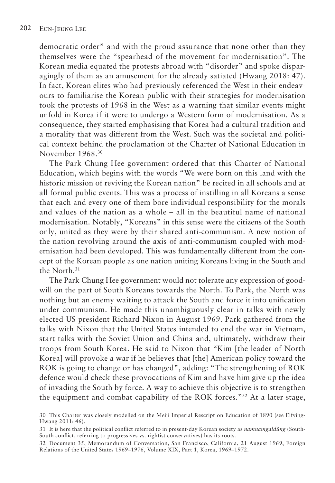democratic order" and with the proud assurance that none other than they themselves were the "spearhead of the movement for modernisation". The Korean media equated the protests abroad with "disorder" and spoke disparagingly of them as an amusement for the already satiated (Hwang 2018: 47). In fact, Korean elites who had previously referenced the West in their endeavours to familiarise the Korean public with their strategies for modernisation took the protests of 1968 in the West as a warning that similar events might unfold in Korea if it were to undergo a Western form of modernisation. As a consequence, they started emphasising that Korea had a cultural tradition and a morality that was different from the West. Such was the societal and political context behind the proclamation of the Charter of National Education in November 1968.30

The Park Chung Hee government ordered that this Charter of National Education, which begins with the words "We were born on this land with the historic mission of reviving the Korean nation" be recited in all schools and at all formal public events. This was a process of instilling in all Koreans a sense that each and every one of them bore individual responsibility for the morals and values of the nation as a whole – all in the beautiful name of national modernisation. Notably, "Koreans" in this sense were the citizens of the South only, united as they were by their shared anti-communism. A new notion of the nation revolving around the axis of anti-communism coupled with modernisation had been developed. This was fundamentally different from the concept of the Korean people as one nation uniting Koreans living in the South and the North.31

The Park Chung Hee government would not tolerate any expression of goodwill on the part of South Koreans towards the North. To Park, the North was nothing but an enemy waiting to attack the South and force it into unification under communism. He made this unambiguously clear in talks with newly elected US president Richard Nixon in August 1969. Park gathered from the talks with Nixon that the United States intended to end the war in Vietnam, start talks with the Soviet Union and China and, ultimately, withdraw their troops from South Korea. He said to Nixon that "Kim [the leader of North Korea] will provoke a war if he believes that [the] American policy toward the ROK is going to change or has changed", adding: "The strengthening of ROK defence would check these provocations of Kim and have him give up the idea of invading the South by force. A way to achieve this objective is to strengthen the equipment and combat capability of the ROK forces."32 At a later stage,

<sup>30</sup> This Charter was closely modelled on the Meiji Imperial Rescript on Education of 1890 (see Elfving-Hwang 2011: 46).

<sup>31</sup> It is here that the political conflict referred to in present-day Korean society as *namnamgaldŭng* (South-South conflict, referring to progressives vs. rightist conservatives) has its roots.

<sup>32</sup> Document 35, Memorandum of Conversation, San Francisco, California, 21 August 1969, Foreign Relations of the United States 1969–1976, Volume XIX, Part 1, Korea, 1969–1972.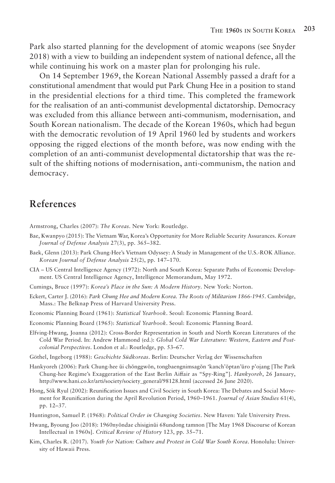Park also started planning for the development of atomic weapons (see Snyder 2018) with a view to building an independent system of national defence, all the while continuing his work on a master plan for prolonging his rule.

On 14 September 1969, the Korean National Assembly passed a draft for a constitutional amendment that would put Park Chung Hee in a position to stand in the presidential elections for a third time. This completed the framework for the realisation of an anti-communist developmental dictatorship. Democracy was excluded from this alliance between anti-communism, modernisation, and South Korean nationalism. The decade of the Korean 1960s, which had begun with the democratic revolution of 19 April 1960 led by students and workers opposing the rigged elections of the month before, was now ending with the completion of an anti-communist developmental dictatorship that was the result of the shifting notions of modernisation, anti-communism, the nation and democracy.

### **References**

Armstrong, Charles (2007): *The Koreas*. New York: Routledge.

- Bae, Kwanpyo (2015): The Vietnam War, Korea's Opportunity for More Reliable Security Assurances. *Korean Journal of Defense Analysis* 27(3), pp. 365–382.
- Baek, Glenn (2013): Park Chung-Hee's Vietnam Odyssey: A Study in Management of the U.S.-ROK Alliance. *Korean Journal of Defense Analysis* 25(2), pp. 147–170.
- CIA US Central Intelligence Agency (1972): North and South Korea: Separate Paths of Economic Development. US Central Intelligence Agency, Intelligence Memorandum, May 1972.
- Cumings, Bruce (1997): *Korea's Place in the Sun: A Modern History*. New York: Norton.
- Eckert, Carter J. (2016): *Park Chung Hee and Modern Korea. The Roots of Militarism 1866-1945*. Cambridge, Mass.: The Belknap Press of Harvard University Press.
- Economic Planning Board (1961): *Statistical Yearbook*. Seoul: Economic Planning Board.
- Economic Planning Board (1965): *Statistical Yearbook*. Seoul: Economic Planning Board.
- Elfving-Hwang, Joanna (2012): Cross-Border Representation in South and North Korean Literatures of the Cold War Period. In: Andrew Hammond (ed.): *Global Cold War Literature: Western, Eastern and Postcolonial Perspectives*. London et al.: Routledge, pp. 53–67.
- Göthel, Ingeborg (1988): *Geschichte Südkoreas*. Berlin: Deutscher Verlag der Wissenschaften
- Hankyoreh (2006): Park Chung-hee ŭi chŏnggwŏn, tongbaengnimsagŏn 'kanch'ŏptan'ŭro p'ojang [The Park Chung-hee Regime's Exaggeration of the East Berlin Aiffair as "Spy-Ring"]. *Hankyoreh*, 26 January, http://www.hani.co.kr/arti/society/society\_general/98128.html (accessed 26 June 2020).
- Hong, Sŏk Ryul (2002): Reunification Issues and Civil Society in South Korea: The Debates and Social Movement for Reunification during the April Revolution Period, 1960–1961. *Journal of Asian Studies* 61(4), pp. 12–37.
- Huntington, Samuel P. (1968): *Political Order in Changing Societies*. New Haven: Yale University Press.
- Hwang, Byoung Joo (2018): 1960nyŏndae chisiginŭi 68undong tamnon [The May 1968 Discourse of Korean Intellectual in 1960s]. *Critical Review of History* 123, pp. 35–71.
- Kim, Charles R. (2017). *Youth for Nation: Culture and Protest in Cold War South Korea*. Honolulu: University of Hawaii Press.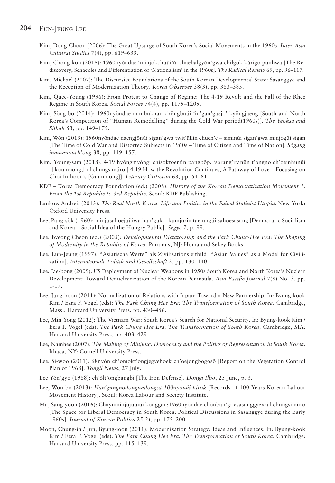#### **204** Eun-Jeung Lee

- Kim, Dong‐Choon (2006): The Great Upsurge of South Korea's Social Movements in the 1960s. *Inter‐Asia Cultural Studies* 7(4), pp. 619–633.
- Kim, Chong-kon (2016): 1960nyŏndae 'minjokchuŭi'ŭi chaebalgyŏn'gwa chilgok kŭrigo punhwa [The Rediscovery, Schackles and Differentiation of 'Nationalism' in the 1960s]. *The Radical Review* 69, pp. 96–117.
- Kim, Michael (2007): The Discursive Foundations of the South Korean Developmental State: Sasanggye and the Reception of Modernization Theory. *Korea Observer* 38(3), pp. 363–385.
- Kim, Quee-Young (1996): From Protest to Change of Regime: The 4-19 Revolt and the Fall of the Rhee Regime in South Korea. *Social Forces* 74(4), pp. 1179–1209.
- Kim, Sŏng-bo (2014): 1960nyŏndae nambukhan chŏngbuŭi 'in'gan'gaejo' kyŏngjaeng [South and North Korea's Competition of "Human Remodelling" during the Cold War period(1960s)]. *The Yeoksa and Silhak* 53, pp. 149–175.
- Kim, Wŏn (2013): 1960nyŏndae naengjŏnŭi sigan'gwa twit'ŭllin chuch'e siminŭi sigan'gwa minjogŭi sigan [The Time of Cold War and Distorted Subjects in 1960s – Time of Citizen and Time of Nation]. *Sŏgang inmunnonch'ong* 38, pp. 119–157.
- Kim, Young-sam (2018): 4·19 hyŏngmyŏngi chisoktoenŭn pangbŏp, 'sarang'iranŭn t'ongno ch'oeinhunŭi 「kuunmong」ŭl chungsimŭro [ 4.19 How the Revolution Continues, A Pathway of Love – Focusing on Choi In-hoon's [Guunmong]]. *Literary Criticism* 68, pp. 54–81.
- KDF Korea Democracy Foundation (ed.) (2008): *History of the Korean Democratization Movement 1. From the 1st Republic to 3rd Republic*. Seoul: KDF Publishing.
- Lankov, Andrei. (2013). *The Real North Korea. Life and Politics in the Failed Stalinist Utopia*. New York: Oxford University Press.
- Lee, Pang-sŏk (1960): minjusahoejuŭiwa han'guk kumjurin taejungŭi sahoesasang [Democratic Socialism and Korea – Social Idea of the Hungry Public]. *Segye* 7, p. 99.
- Lee, Byeong Cheon (ed.) (2005): *Developmental Dictatorship and the Park Chung-Hee Era: The Shaping of Modernity in the Republic of Korea*. Paramus, NJ: Homa and Sekey Books.
- Lee, Eun-Jeung (1997): "Asiatische Werte" als Zivilisationsleitbild ["Asian Values" as a Model for Civilization]. *Internationale Politik und Gesellschaft* 2, pp. 130–140.
- Lee, Jae-bong (2009): US Deployment of Nuclear Weapons in 1950s South Korea and North Korea's Nuclear Development: Toward Denuclearization of the Korean Peninsula. *Asia-Pacific Journal* 7(8) No. 3, pp. 1-17.
- Lee, Jung-hoon (2011): Normalization of Relations with Japan: Toward a New Partnership. In: Byung-kook Kim / Ezra F. Vogel (eds): *The Park Chung Hee Era: The Transformation of South Korea*. Cambridge, Mass.: Harvard University Press, pp. 430–456.
- Lee, Min Yong (2012): The Vietnam War: South Korea's Search for National Security. In: Byung-kook Kim / Ezra F. Vogel (eds): *The Park Chung Hee Era: The Transformation of South Korea*. Cambridge, MA: Harvard University Press, pp. 403–429.
- Lee, Namhee (2007): *The Making of Minjung: Democracy and the Politics of Representation in South Korea*. Ithaca, NY: Cornell University Press.
- Lee, Si-woo (2011): 68nyŏn ch'omokt'ongjegyehoek ch'oejongbogosŏ [Report on the Vegetation Control Plan of 1968]. *Tongil News*, 27 July.
- Lee Yŏn'gyo (1968): ch'ŏlt'ongbangbi [The Iron Defense]. *Donga Ilbo*, 25 June, p. 3.
- Lee, Wŏn-bo (2013): *Han'gungnodongundongsa 100nyŏnŭi kirok* [Records of 100 Years Korean Labour Movement History]. Seoul: Korea Labour and Society Institute.
- Ma, Sang-yoon (2016): Chayuminjujuŭiŭi konggan:1960nyŏndae chŏnban'gi <sasanggye>rŭl chungsimŭro [The Space for Liberal Democracy in South Korea: Political Discussions in Sasanggye during the Early 1960s]. *Journal of Korean Politics* 25(2), pp. 175–200.
- Moon, Chung-in / Jun, Byung-joon (2011): Modernization Strategy: Ideas and Influences. In: Byung-kook Kim / Ezra F. Vogel (eds): *The Park Chung Hee Era: The Transformation of South Korea*. Cambridge: Harvard University Press, pp. 115–139.